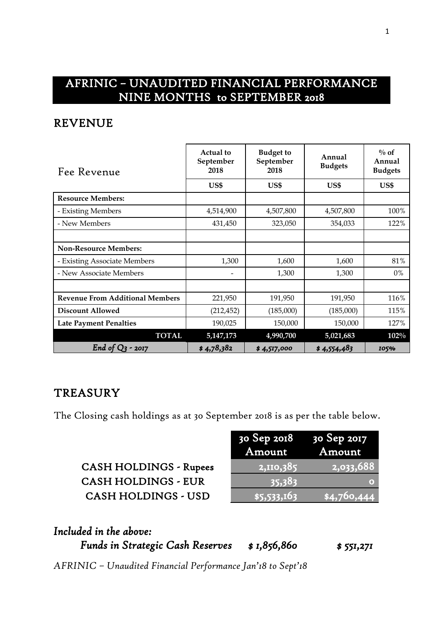## AFRINIC – UNAUDITED FINANCIAL PERFORMANCE NINE MONTHS to SEPTEMBER 2018

#### REVENUE

| Fee Revenue                            | Actual to<br>September<br>2018 | <b>Budget to</b><br>September<br>2018 | Annual<br><b>Budgets</b> | $\%$ of<br>Annual<br><b>Budgets</b> |
|----------------------------------------|--------------------------------|---------------------------------------|--------------------------|-------------------------------------|
|                                        | US\$                           | US\$                                  | US\$                     | US\$                                |
| <b>Resource Members:</b>               |                                |                                       |                          |                                     |
| - Existing Members                     | 4,514,900                      | 4,507,800                             | 4,507,800                | 100%                                |
| - New Members                          | 431,450                        | 323,050                               | 354,033                  | 122%                                |
|                                        |                                |                                       |                          |                                     |
| <b>Non-Resource Members:</b>           |                                |                                       |                          |                                     |
| - Existing Associate Members           | 1,300                          | 1,600                                 | 1,600                    | 81%                                 |
| - New Associate Members                |                                | 1,300                                 | 1,300                    | 0%                                  |
|                                        |                                |                                       |                          |                                     |
| <b>Revenue From Additional Members</b> | 221,950                        | 191,950                               | 191,950                  | 116%                                |
| <b>Discount Allowed</b>                | (212, 452)                     | (185,000)                             | (185,000)                | 115%                                |
| <b>Late Payment Penalties</b>          | 190,025                        | 150,000                               | 150,000                  | 127%                                |
| <b>TOTAL</b>                           | 5,147,173                      | 4,990,700                             | 5,021,683                | $102\%$                             |
| End of<br>$-2017$                      | \$4,78,382                     | \$4,517,000                           | \$4,554,483              | 105%                                |

#### **TREASURY**

The Closing cash holdings as at 30 September 2018 is as per the table below.

| <b>CASH HOLDINGS - Rupees</b> |
|-------------------------------|
| <b>CASH HOLDINGS - EUR</b>    |
| <b>CASH HOLDINGS - USD</b>    |

|                               | 30 Sep 2018 30 Sep 2017<br>Amount | Amount    |
|-------------------------------|-----------------------------------|-----------|
| <b>CASH HOLDINGS - Rupees</b> | 2,110,385                         | 2,033,688 |
| <b>CASH HOLDINGS - EUR</b>    | 35,383                            |           |
| <b>CASH HOLDINGS - USD</b>    | \$5,533,163                       | 4,760,444 |

| Included in the above:                  |              |            |
|-----------------------------------------|--------------|------------|
| <b>Funds in Strategic Cash Reserves</b> | \$ 1,856,860 | \$ 551,271 |

*AFRINIC – Unaudited Financial Performance Jan'18 to Sept'18*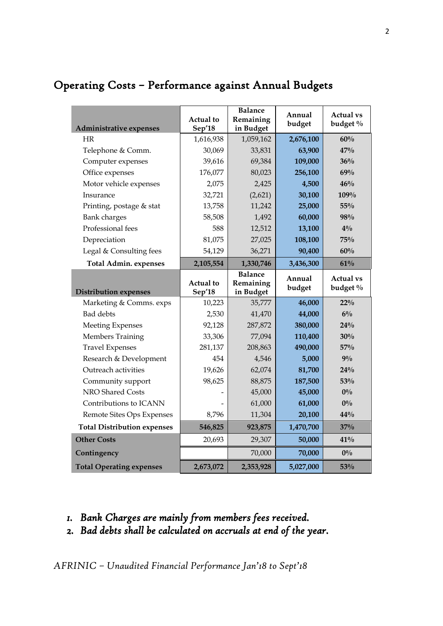| Administrative expenses                                 | Actual to<br>Sep'18 | <b>Balance</b><br>Remaining<br>in Budget | Annual<br>budget | <b>Actual vs</b><br>budget $\%$ |
|---------------------------------------------------------|---------------------|------------------------------------------|------------------|---------------------------------|
| HR                                                      | 1,616,938           | 1,059,162                                | 2,676,100        | 60%                             |
| Telephone & Comm.                                       | 30,069              | 33,831                                   | 63,900           | 47%                             |
| Computer expenses                                       | 39,616              | 69,384                                   | 109,000          | 36%                             |
| Office expenses                                         | 176,077             | 80,023                                   | 256,100          | 69%                             |
| Motor vehicle expenses                                  | 2,075               | 2,425                                    | 4,500            | 46%                             |
| Insurance                                               | 32,721              | (2,621)                                  | 30,100           | 109%                            |
| Printing, postage & stat                                | 13,758              | 11,242                                   | 25,000           | 55%                             |
| Bank charges                                            | 58,508              | 1,492                                    | 60,000           | 98%                             |
| Professional fees                                       | 588                 | 12,512                                   | 13,100           | $4\%$                           |
| Depreciation                                            | 81,075              | 27,025                                   | 108,100          | 75%                             |
| Legal & Consulting fees                                 | 54,129              | 36,271                                   | 90,400           | 60%                             |
| <b>Total Admin. expenses</b>                            | 2,105,554           | 1,330,746                                | 3,436,300        | 61%                             |
|                                                         | <b>Actual</b> to    | <b>Balance</b><br>Remaining              | Annual<br>budget | <b>Actual vs</b><br>budget $\%$ |
|                                                         |                     |                                          |                  |                                 |
| <b>Distribution expenses</b><br>Marketing & Comms. exps | Sep'18<br>10,223    | in Budget<br>35,777                      | 46,000           | $22\%$                          |
| <b>Bad debts</b>                                        | 2,530               | 41,470                                   | 44,000           | $6\%$                           |
| <b>Meeting Expenses</b>                                 | 92,128              | 287,872                                  | 380,000          | 24%                             |
| Members Training                                        | 33,306              | 77,094                                   | 110,400          | 30%                             |
| <b>Travel Expenses</b>                                  | 281,137             | 208,863                                  | 490,000          | 57%                             |
| Research & Development                                  | 454                 | 4,546                                    | 5,000            | 9%                              |
| Outreach activities                                     | 19,626              | 62,074                                   | 81,700           | 24%                             |
| Community support                                       | 98,625              | 88,875                                   | 187,500          | 53%                             |
| NRO Shared Costs                                        |                     | 45,000                                   | 45,000           | $0\%$                           |
| Contributions to ICANN                                  |                     | 61,000                                   | 61,000           | $0\%$                           |
| Remote Sites Ops Expenses                               | 8,796               | 11,304                                   | 20,100           | 44%                             |
| <b>Total Distribution expenses</b>                      | 546,825             | 923,875                                  | 1,470,700        | 37%                             |
| <b>Other Costs</b>                                      | 20,693              | 29,307                                   | 50,000           | 41%                             |
| Contingency                                             |                     | 70,000                                   | 70,000           | $0\%$                           |

# Operating Costs – Performance against Annual Budgets

- *1. Bank Charges are mainly from members fees received.*
- *2. Bad debts shall be calculated on accruals at end of the year.*

*AFRINIC – Unaudited Financial Performance Jan'18 to Sept'18*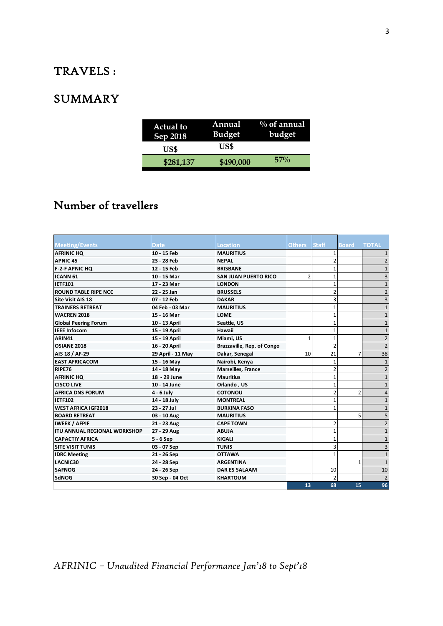### TRAVELS :

## **SUMMARY**

| <b>Actual to</b> | Annual        | $\%$ of annual |
|------------------|---------------|----------------|
| Sep 2018         | <b>Budget</b> | budget         |
| US\$             | US\$          |                |
| \$281,137        | \$490,000     | $57\%$         |

# Number of travellers

| <b>Meeting/Events</b>               | <b>Date</b>       | <b>Location</b>             | <b>Others</b>  | <b>Staff</b>   | <b>Board TOTAL</b> |                |
|-------------------------------------|-------------------|-----------------------------|----------------|----------------|--------------------|----------------|
| <b>AFRINIC HQ</b>                   | 10 - 15 Feb       | <b>MAURITIUS</b>            |                | $\mathbf{1}$   |                    |                |
| <b>APNIC 45</b>                     | 23 - 28 Feb       | <b>NEPAL</b>                |                | $\overline{2}$ |                    |                |
| <b>F-2-F APNIC HQ</b>               | 12 - 15 Feb       | <b>BRISBANE</b>             |                | $\mathbf{1}$   |                    |                |
| <b>ICANN 61</b>                     | 10 - 15 Mar       | <b>SAN JUAN PUERTO RICO</b> | $\overline{2}$ | 1              |                    |                |
| <b>IETF101</b>                      | 17 - 23 Mar       | <b>LONDON</b>               |                | 1              |                    |                |
| <b>ROUND TABLE RIPE NCC</b>         | 22 - 25 Jan       | <b>BRUSSELS</b>             |                | $\overline{2}$ |                    |                |
| <b>Site Visit AIS 18</b>            | 07 - 12 Feb       | <b>DAKAR</b>                |                | 3              |                    |                |
| <b>TRAINERS RETREAT</b>             | 04 Feb - 03 Mar   | <b>MAURITIUS</b>            |                | $\mathbf{1}$   |                    |                |
| <b>WACREN 2018</b>                  | 15 - 16 Mar       | <b>LOME</b>                 |                | $\mathbf{1}$   |                    |                |
| <b>Global Peering Forum</b>         | 10 - 13 April     | Seattle, US                 |                | $\mathbf{1}$   |                    |                |
| <b>IEEE Infocom</b>                 | 15 - 19 April     | Hawaii                      |                | $\mathbf{1}$   |                    |                |
| ARIN41                              | 15 - 19 April     | Miami, US                   | $\mathbf{1}$   | 1              |                    |                |
| <b>OSIANE 2018</b>                  | 16 - 20 April     | Brazzaville, Rep. of Congo  |                | $\overline{2}$ |                    |                |
| AIS 18 / AF-29                      | 29 April - 11 May | Dakar, Senegal              | 10             | 21             | 7                  | 38             |
| <b>EAST AFRICACOM</b>               | 15 - 16 May       | Nairobi, Kenya              |                | 1              |                    |                |
| RIPE76                              | 14 - 18 May       | <b>Marseilles, France</b>   |                | $\overline{2}$ |                    |                |
| <b>AFRINIC HQ</b>                   | 18 - 29 June      | <b>Mauritius</b>            |                | $\mathbf{1}$   |                    |                |
| <b>CISCO LIVE</b>                   | 10 - 14 June      | Orlando, US                 |                | $\mathbf{1}$   |                    |                |
| <b>AFRICA DNS FORUM</b>             | 4 - 6 July        | <b>COTONOU</b>              |                | $\overline{2}$ | $\overline{2}$     |                |
| IETF102                             | 14 - 18 July      | <b>MONTREAL</b>             |                | 1              |                    |                |
| <b>WEST AFRICA IGF2018</b>          | 23 - 27 Jul       | <b>BURKINA FASO</b>         |                | $\mathbf{1}$   |                    |                |
| <b>BOARD RETREAT</b>                | 03 - 10 Aug       | <b>MAURITIUS</b>            |                |                | 5                  | 5              |
| <b>IWEEK / AFPIF</b>                | 21 - 23 Aug       | <b>CAPE TOWN</b>            |                | $\overline{2}$ |                    |                |
| <b>ITU ANNUAL REGIONAL WORKSHOP</b> | 27 - 29 Aug       | <b>ABUJA</b>                |                | 1              |                    |                |
| <b>CAPACTIY AFRICA</b>              | 5 - 6 Sep         | <b>KIGALI</b>               |                | $\mathbf{1}$   |                    |                |
| <b>SITE VISIT TUNIS</b>             | 03 - 07 Sep       | <b>TUNIS</b>                |                | 3              |                    |                |
| <b>IDRC Meeting</b>                 | 21 - 26 Sep       | <b>OTTAWA</b>               |                | $\mathbf{1}$   |                    |                |
| <b>LACNIC30</b>                     | 24 - 28 Sep       | <b>ARGENTINA</b>            |                |                | 1                  |                |
| <b>SAFNOG</b>                       | 24 - 26 Sep       | <b>DAR ES SALAAM</b>        |                | 10             |                    | 10             |
| <b>SdNOG</b>                        | 30 Sep - 04 Oct   | <b>KHARTOUM</b>             |                | $\overline{2}$ |                    | $\overline{2}$ |
|                                     |                   |                             | 13             | 68             | 15                 | 96             |